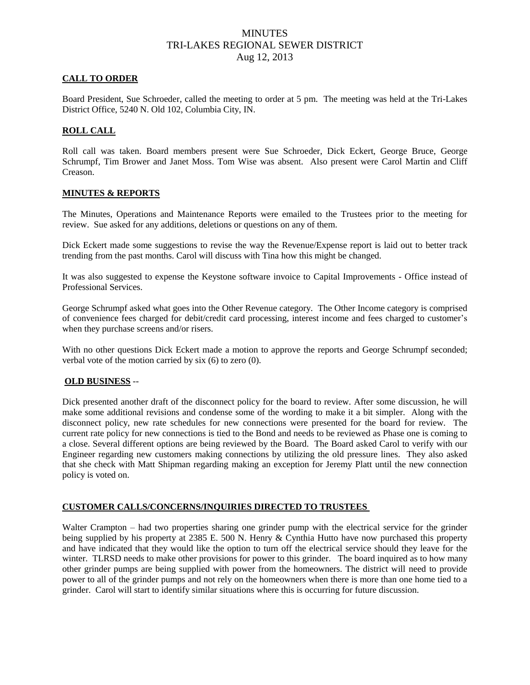## **MINUTES** TRI-LAKES REGIONAL SEWER DISTRICT Aug 12, 2013

### **CALL TO ORDER**

Board President, Sue Schroeder, called the meeting to order at 5 pm. The meeting was held at the Tri-Lakes District Office, 5240 N. Old 102, Columbia City, IN.

### **ROLL CALL**

Roll call was taken. Board members present were Sue Schroeder, Dick Eckert, George Bruce, George Schrumpf, Tim Brower and Janet Moss. Tom Wise was absent. Also present were Carol Martin and Cliff Creason.

#### **MINUTES & REPORTS**

The Minutes, Operations and Maintenance Reports were emailed to the Trustees prior to the meeting for review. Sue asked for any additions, deletions or questions on any of them.

Dick Eckert made some suggestions to revise the way the Revenue/Expense report is laid out to better track trending from the past months. Carol will discuss with Tina how this might be changed.

It was also suggested to expense the Keystone software invoice to Capital Improvements - Office instead of Professional Services.

George Schrumpf asked what goes into the Other Revenue category. The Other Income category is comprised of convenience fees charged for debit/credit card processing, interest income and fees charged to customer's when they purchase screens and/or risers.

With no other questions Dick Eckert made a motion to approve the reports and George Schrumpf seconded; verbal vote of the motion carried by six (6) to zero (0).

#### **OLD BUSINESS** --

Dick presented another draft of the disconnect policy for the board to review. After some discussion, he will make some additional revisions and condense some of the wording to make it a bit simpler. Along with the disconnect policy, new rate schedules for new connections were presented for the board for review. The current rate policy for new connections is tied to the Bond and needs to be reviewed as Phase one is coming to a close. Several different options are being reviewed by the Board. The Board asked Carol to verify with our Engineer regarding new customers making connections by utilizing the old pressure lines. They also asked that she check with Matt Shipman regarding making an exception for Jeremy Platt until the new connection policy is voted on.

## **CUSTOMER CALLS/CONCERNS/INQUIRIES DIRECTED TO TRUSTEES**

Walter Crampton – had two properties sharing one grinder pump with the electrical service for the grinder being supplied by his property at 2385 E. 500 N. Henry & Cynthia Hutto have now purchased this property and have indicated that they would like the option to turn off the electrical service should they leave for the winter. TLRSD needs to make other provisions for power to this grinder. The board inquired as to how many other grinder pumps are being supplied with power from the homeowners. The district will need to provide power to all of the grinder pumps and not rely on the homeowners when there is more than one home tied to a grinder. Carol will start to identify similar situations where this is occurring for future discussion.